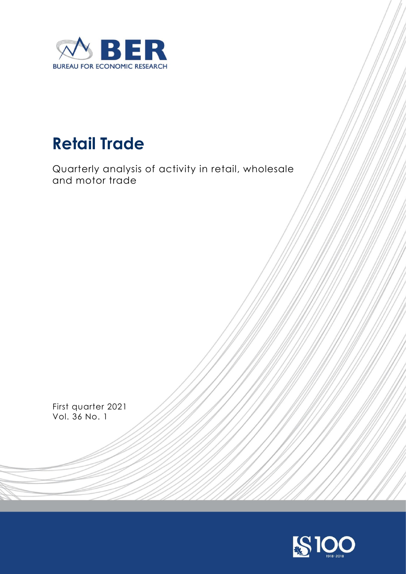

# **Retail Trade**

Quarterly analysis of activity in retail, wholesale and motor trade

First quarter 2021 Vol. 36 No. 1

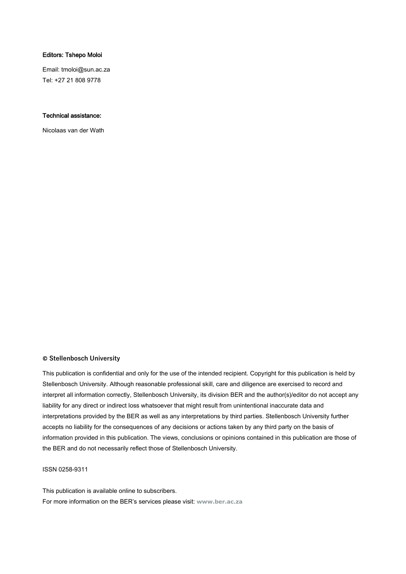#### Editors: Tshepo Moloi

Email: tmoloi@sun.ac.za Tel: +27 21 808 9778

#### Technical assistance:

Nicolaas van der Wath

#### **© Stellenbosch University**

This publication is confidential and only for the use of the intended recipient. Copyright for this publication is held by Stellenbosch University. Although reasonable professional skill, care and diligence are exercised to record and interpret all information correctly, Stellenbosch University, its division BER and the author(s)/editor do not accept any liability for any direct or indirect loss whatsoever that might result from unintentional inaccurate data and interpretations provided by the BER as well as any interpretations by third parties. Stellenbosch University further accepts no liability for the consequences of any decisions or actions taken by any third party on the basis of information provided in this publication. The views, conclusions or opinions contained in this publication are those of the BER and do not necessarily reflect those of Stellenbosch University.

#### ISSN 0258-9311

This publication is available online to subscribers. For more information on the BER's services please visit: **[www.ber.ac.za](http://www.ber.ac.za/)**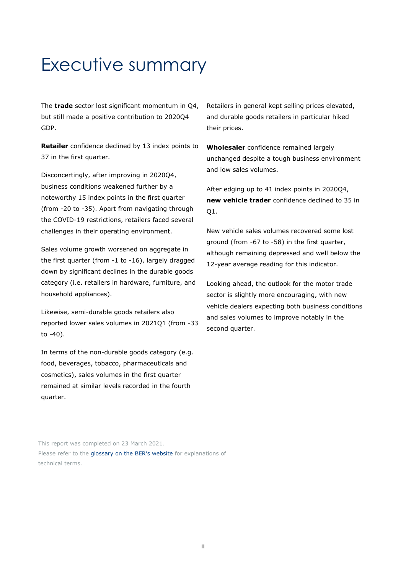# Executive summary

The **trade** sector lost significant momentum in Q4, but still made a positive contribution to 2020Q4 GDP.

**Retailer** confidence declined by 13 index points to 37 in the first quarter.

Disconcertingly, after improving in 2020Q4, business conditions weakened further by a noteworthy 15 index points in the first quarter (from -20 to -35). Apart from navigating through the COVID-19 restrictions, retailers faced several challenges in their operating environment.

Sales volume growth worsened on aggregate in the first quarter (from -1 to -16), largely dragged down by significant declines in the durable goods category (i.e. retailers in hardware, furniture, and household appliances).

Likewise, semi-durable goods retailers also reported lower sales volumes in 2021Q1 (from -33 to -40).

In terms of the non-durable goods category (e.g. food, beverages, tobacco, pharmaceuticals and cosmetics), sales volumes in the first quarter remained at similar levels recorded in the fourth quarter.

Retailers in general kept selling prices elevated, and durable goods retailers in particular hiked their prices.

**Wholesaler** confidence remained largely unchanged despite a tough business environment and low sales volumes.

After edging up to 41 index points in 2020Q4, **new vehicle trader** confidence declined to 35 in Q1.

New vehicle sales volumes recovered some lost ground (from -67 to -58) in the first quarter, although remaining depressed and well below the 12-year average reading for this indicator.

Looking ahead, the outlook for the motor trade sector is slightly more encouraging, with new vehicle dealers expecting both business conditions and sales volumes to improve notably in the second quarter.

This report was completed on 23 March 2021. Please refer to the [glossary on the BER's website](https://www.ber.ac.za/Glossary/) for explanations of technical terms.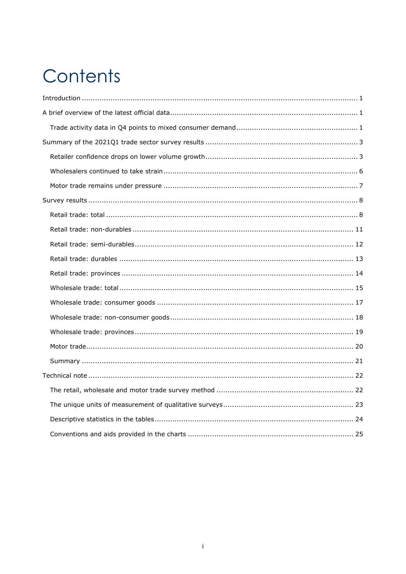# Contents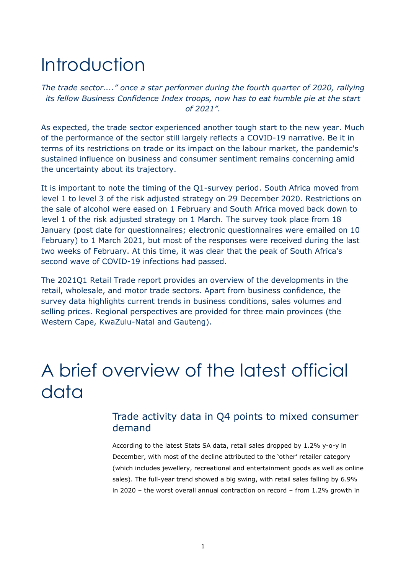# <span id="page-4-0"></span>Introduction

*The trade sector...." once a star performer during the fourth quarter of 2020, rallying its fellow Business Confidence Index troops, now has to eat humble pie at the start of 2021".*

As expected, the trade sector experienced another tough start to the new year. Much of the performance of the sector still largely reflects a COVID-19 narrative. Be it in terms of its restrictions on trade or its impact on the labour market, the pandemic's sustained influence on business and consumer sentiment remains concerning amid the uncertainty about its trajectory.

It is important to note the timing of the Q1-survey period. South Africa moved from level 1 to level 3 of the risk adjusted strategy on 29 December 2020. Restrictions on the sale of alcohol were eased on 1 February and South Africa moved back down to level 1 of the risk adjusted strategy on 1 March. The survey took place from 18 January (post date for questionnaires; electronic questionnaires were emailed on 10 February) to 1 March 2021, but most of the responses were received during the last two weeks of February. At this time, it was clear that the peak of South Africa's second wave of COVID-19 infections had passed.

The 2021Q1 Retail Trade report provides an overview of the developments in the retail, wholesale, and motor trade sectors. Apart from business confidence, the survey data highlights current trends in business conditions, sales volumes and selling prices. Regional perspectives are provided for three main provinces (the Western Cape, KwaZulu-Natal and Gauteng).

# <span id="page-4-1"></span>A brief overview of the latest official data

### <span id="page-4-2"></span>Trade activity data in Q4 points to mixed consumer demand

According to the latest Stats SA data, retail sales dropped by 1.2% y-o-y in December, with most of the decline attributed to the 'other' retailer category (which includes jewellery, recreational and entertainment goods as well as online sales). The full-year trend showed a big swing, with retail sales falling by 6.9% in 2020 – the worst overall annual contraction on record – from 1.2% growth in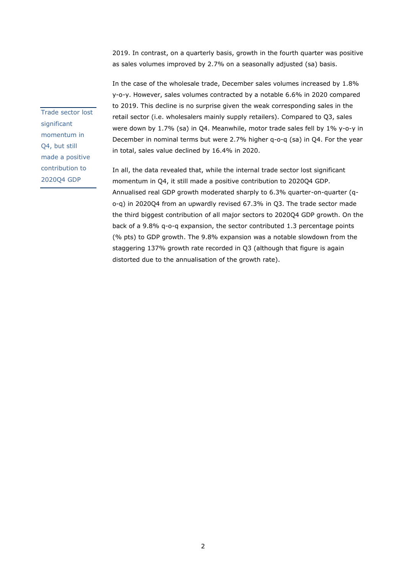2019. In contrast, on a quarterly basis, growth in the fourth quarter was positive as sales volumes improved by 2.7% on a seasonally adjusted (sa) basis.

In the case of the wholesale trade, December sales volumes increased by 1.8% y-o-y. However, sales volumes contracted by a notable 6.6% in 2020 compared to 2019. This decline is no surprise given the weak corresponding sales in the retail sector (i.e. wholesalers mainly supply retailers). Compared to Q3, sales were down by 1.7% (sa) in Q4. Meanwhile, motor trade sales fell by 1% y-o-y in December in nominal terms but were 2.7% higher q-o-q (sa) in Q4. For the year in total, sales value declined by 16.4% in 2020.

In all, the data revealed that, while the internal trade sector lost significant momentum in Q4, it still made a positive contribution to 2020Q4 GDP. Annualised real GDP growth moderated sharply to 6.3% quarter-on-quarter (qo-q) in 2020Q4 from an upwardly revised 67.3% in Q3. The trade sector made the third biggest contribution of all major sectors to 2020Q4 GDP growth. On the back of a 9.8% q-o-q expansion, the sector contributed 1.3 percentage points (% pts) to GDP growth. The 9.8% expansion was a notable slowdown from the staggering 137% growth rate recorded in Q3 (although that figure is again distorted due to the annualisation of the growth rate).

Trade sector lost significant momentum in Q4, but still made a positive contribution to 2020Q4 GDP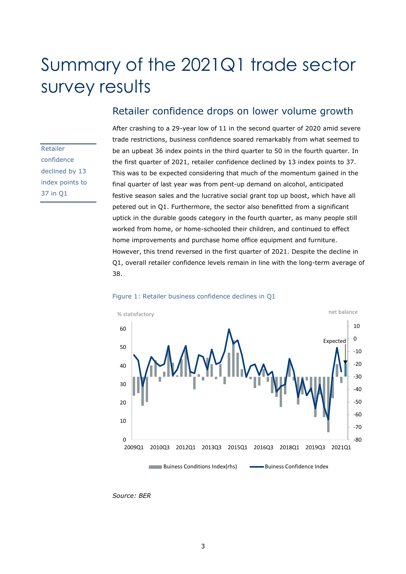# <span id="page-6-0"></span>Summary of the 2021Q1 trade sector survey results

Retailer confidence declined by 13 index points to 37 in Q1

## <span id="page-6-1"></span>Retailer confidence drops on lower volume growth

After crashing to a 29-year low of 11 in the second quarter of 2020 amid severe trade restrictions, business confidence soared remarkably from what seemed to be an upbeat 36 index points in the third quarter to 50 in the fourth quarter. In the first quarter of 2021, retailer confidence declined by 13 index points to 37. This was to be expected considering that much of the momentum gained in the final quarter of last year was from pent-up demand on alcohol, anticipated festive season sales and the lucrative social grant top up boost, which have all petered out in Q1. Furthermore, the sector also benefitted from a significant uptick in the durable goods category in the fourth quarter, as many people still worked from home, or home-schooled their children, and continued to effect home improvements and purchase home office equipment and furniture. However, this trend reversed in the first quarter of 2021. Despite the decline in Q1, overall retailer confidence levels remain in line with the long-term average of 38.



#### Figure 1: Retailer business confidence declines in Q1

*Source: BER*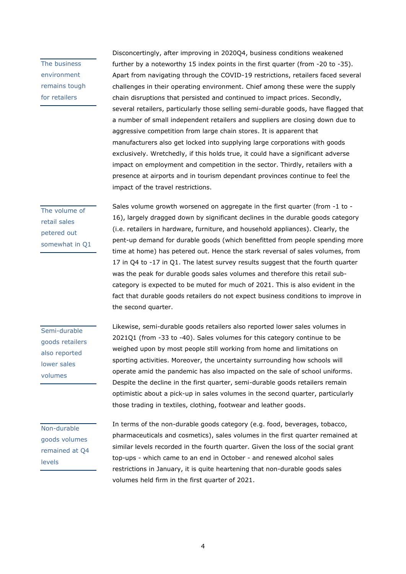The business environment remains tough for retailers

Disconcertingly, after improving in 2020Q4, business conditions weakened further by a noteworthy 15 index points in the first quarter (from -20 to -35). Apart from navigating through the COVID-19 restrictions, retailers faced several challenges in their operating environment. Chief among these were the supply chain disruptions that persisted and continued to impact prices. Secondly, several retailers, particularly those selling semi-durable goods, have flagged that a number of small independent retailers and suppliers are closing down due to aggressive competition from large chain stores. It is apparent that manufacturers also get locked into supplying large corporations with goods exclusively. Wretchedly, if this holds true, it could have a significant adverse impact on employment and competition in the sector. Thirdly, retailers with a presence at airports and in tourism dependant provinces continue to feel the impact of the travel restrictions.

The volume of retail sales petered out somewhat in Q1 Sales volume growth worsened on aggregate in the first quarter (from -1 to - 16), largely dragged down by significant declines in the durable goods category (i.e. retailers in hardware, furniture, and household appliances). Clearly, the pent-up demand for durable goods (which benefitted from people spending more time at home) has petered out. Hence the stark reversal of sales volumes, from 17 in Q4 to -17 in Q1. The latest survey results suggest that the fourth quarter was the peak for durable goods sales volumes and therefore this retail subcategory is expected to be muted for much of 2021. This is also evident in the fact that durable goods retailers do not expect business conditions to improve in the second quarter.

Semi-durable goods retailers also reported lower sales volumes

Likewise, semi-durable goods retailers also reported lower sales volumes in 2021Q1 (from -33 to -40). Sales volumes for this category continue to be weighed upon by most people still working from home and limitations on sporting activities. Moreover, the uncertainty surrounding how schools will operate amid the pandemic has also impacted on the sale of school uniforms. Despite the decline in the first quarter, semi-durable goods retailers remain optimistic about a pick-up in sales volumes in the second quarter, particularly those trading in textiles, clothing, footwear and leather goods.

Non-durable goods volumes remained at Q4 levels

In terms of the non-durable goods category (e.g. food, beverages, tobacco, pharmaceuticals and cosmetics), sales volumes in the first quarter remained at similar levels recorded in the fourth quarter. Given the loss of the social grant top-ups - which came to an end in October - and renewed alcohol sales restrictions in January, it is quite heartening that non-durable goods sales volumes held firm in the first quarter of 2021.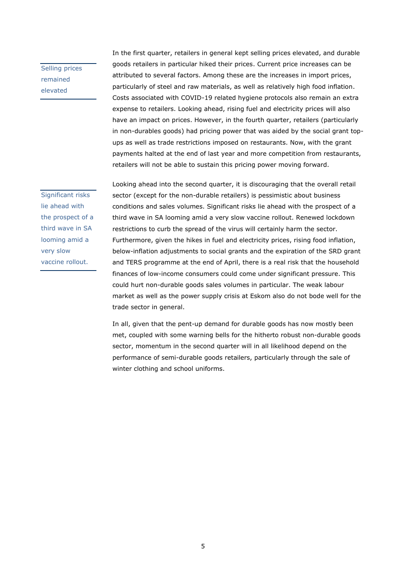Selling prices remained elevated

In the first quarter, retailers in general kept selling prices elevated, and durable goods retailers in particular hiked their prices. Current price increases can be attributed to several factors. Among these are the increases in import prices, particularly of steel and raw materials, as well as relatively high food inflation. Costs associated with COVID-19 related hygiene protocols also remain an extra expense to retailers. Looking ahead, rising fuel and electricity prices will also have an impact on prices. However, in the fourth quarter, retailers (particularly in non-durables goods) had pricing power that was aided by the social grant topups as well as trade restrictions imposed on restaurants. Now, with the grant payments halted at the end of last year and more competition from restaurants, retailers will not be able to sustain this pricing power moving forward.

Significant risks lie ahead with the prospect of a third wave in SA looming amid a very slow vaccine rollout.

Looking ahead into the second quarter, it is discouraging that the overall retail sector (except for the non-durable retailers) is pessimistic about business conditions and sales volumes. Significant risks lie ahead with the prospect of a third wave in SA looming amid a very slow vaccine rollout. Renewed lockdown restrictions to curb the spread of the virus will certainly harm the sector. Furthermore, given the hikes in fuel and electricity prices, rising food inflation, below-inflation adjustments to social grants and the expiration of the SRD grant and TERS programme at the end of April, there is a real risk that the household finances of low-income consumers could come under significant pressure. This could hurt non-durable goods sales volumes in particular. The weak labour market as well as the power supply crisis at Eskom also do not bode well for the trade sector in general.

In all, given that the pent-up demand for durable goods has now mostly been met, coupled with some warning bells for the hitherto robust non-durable goods sector, momentum in the second quarter will in all likelihood depend on the performance of semi-durable goods retailers, particularly through the sale of winter clothing and school uniforms.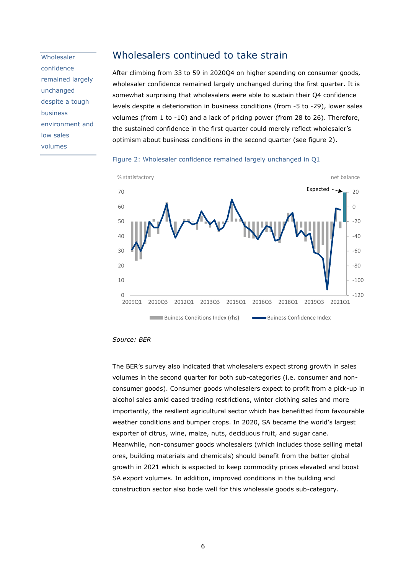**Wholesaler** confidence remained largely unchanged despite a tough business environment and low sales volumes

#### <span id="page-9-0"></span>Wholesalers continued to take strain

After climbing from 33 to 59 in 2020Q4 on higher spending on consumer goods, wholesaler confidence remained largely unchanged during the first quarter. It is somewhat surprising that wholesalers were able to sustain their Q4 confidence levels despite a deterioration in business conditions (from -5 to -29), lower sales volumes (from 1 to -10) and a lack of pricing power (from 28 to 26). Therefore, the sustained confidence in the first quarter could merely reflect wholesaler's optimism about business conditions in the second quarter (see figure 2).





*Source: BER* 

The BER's survey also indicated that wholesalers expect strong growth in sales volumes in the second quarter for both sub-categories (i.e. consumer and nonconsumer goods). Consumer goods wholesalers expect to profit from a pick-up in alcohol sales amid eased trading restrictions, winter clothing sales and more importantly, the resilient agricultural sector which has benefitted from favourable weather conditions and bumper crops. In 2020, SA became the world's largest exporter of citrus, wine, maize, nuts, deciduous fruit, and sugar cane. Meanwhile, non-consumer goods wholesalers (which includes those selling metal ores, building materials and chemicals) should benefit from the better global growth in 2021 which is expected to keep commodity prices elevated and boost SA export volumes. In addition, improved conditions in the building and construction sector also bode well for this wholesale goods sub-category.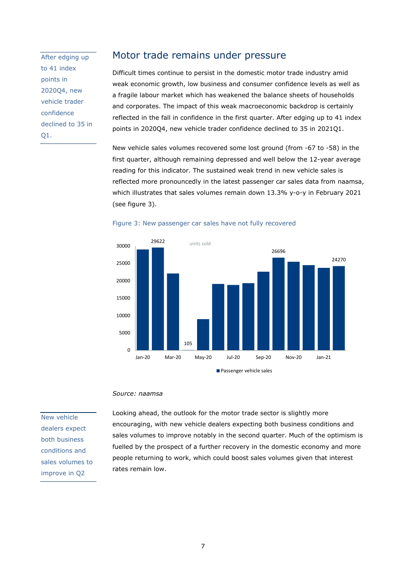After edging up to 41 index points in 2020Q4, new vehicle trader confidence declined to 35 in Q1.

### <span id="page-10-0"></span>Motor trade remains under pressure

Difficult times continue to persist in the domestic motor trade industry amid weak economic growth, low business and consumer confidence levels as well as a fragile labour market which has weakened the balance sheets of households and corporates. The impact of this weak macroeconomic backdrop is certainly reflected in the fall in confidence in the first quarter. After edging up to 41 index points in 2020Q4, new vehicle trader confidence declined to 35 in 2021Q1.

New vehicle sales volumes recovered some lost ground (from -67 to -58) in the first quarter, although remaining depressed and well below the 12-year average reading for this indicator. The sustained weak trend in new vehicle sales is reflected more pronouncedly in the latest passenger car sales data from naamsa, which illustrates that sales volumes remain down 13.3% y-o-y in February 2021 (see figure 3).



#### Figure 3: New passenger car sales have not fully recovered

#### *Source: naamsa*

New vehicle dealers expect both business conditions and sales volumes to improve in Q2

Looking ahead, the outlook for the motor trade sector is slightly more encouraging, with new vehicle dealers expecting both business conditions and sales volumes to improve notably in the second quarter. Much of the optimism is fuelled by the prospect of a further recovery in the domestic economy and more people returning to work, which could boost sales volumes given that interest rates remain low.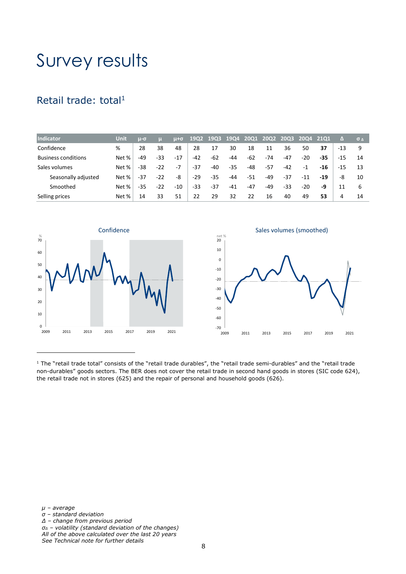# <span id="page-11-0"></span>Survey results

# <span id="page-11-1"></span>Retail trade: total<sup>1</sup>

| <b>Indicator</b>           | Unit  | $\mu$ - $\sigma$ |       | μ+σ   | <b>19Q2</b> | 19Q3  | <b>19Q4</b> | 2001  | <b>20Q2</b> | <b>20Q3</b> | 2004 2101 |       | ZΔ    | $\sigma$ $\Lambda$ |
|----------------------------|-------|------------------|-------|-------|-------------|-------|-------------|-------|-------------|-------------|-----------|-------|-------|--------------------|
| Confidence                 | %     | 28               | 38    | 48    | 28          | 17    | 30          | 18    | 11          | 36          | 50        | 37    | $-13$ | 9                  |
| <b>Business conditions</b> | Net % | $-49$            | $-33$ | $-17$ | $-42$       | -62   | -44         | $-62$ | $-74$       | $-47$       | $-20$     | -35   | -15   | 14                 |
| Sales volumes              | Net % | -38              | $-22$ | $-7$  | $-37$       | $-40$ | -35         | $-48$ | -57         | $-42$       | $-1$      | -16   | -15   | 13                 |
| Seasonally adjusted        | Net % | -37              | $-22$ | -8    | $-29$       | -35   | -44         | $-51$ | -49         | -37         | $-11$     | $-19$ | -8    | 10                 |
| Smoothed                   | Net % | $-35$            | $-22$ | $-10$ | -33         | -37   | $-41$       | $-47$ | -49         | -33         | $-20$     | -9    | 11    | 6                  |
| Selling prices             | Net % | 14               | 33    | 51    | 22          | 29    | 32          | 22    | 16          | 40          | 49        | 53    | 4     | 14                 |





 $1$  The "retail trade total" consists of the "retail trade durables", the "retail trade semi-durables" and the "retail trade non-durables" goods sectors. The BER does not cover the retail trade in second hand goods in stores (SIC code 624), the retail trade not in stores (625) and the repair of personal and household goods (626).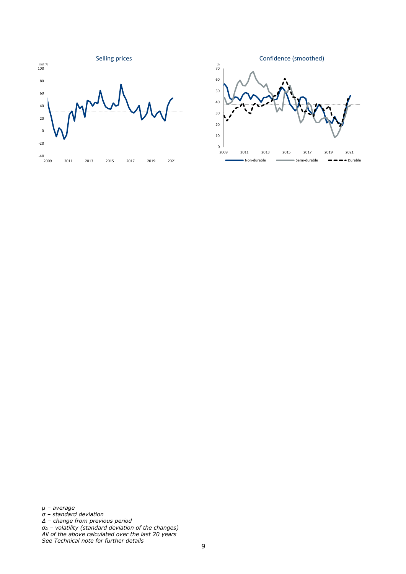

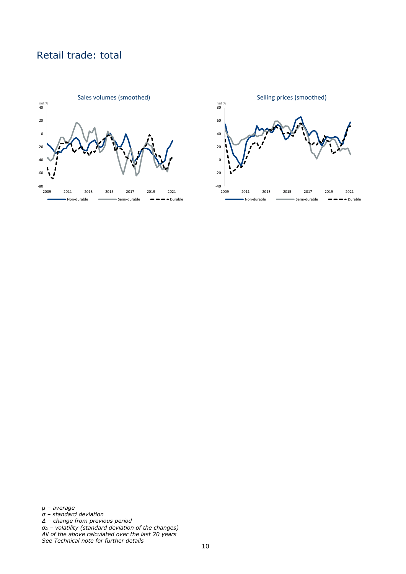# Retail trade: total



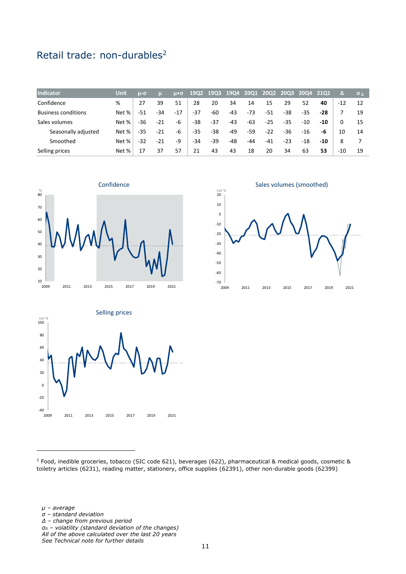# <span id="page-14-0"></span>Retail trade: non-durables<sup>2</sup>

| <b>Indicator</b>           | Unit  | $u$ - $\sigma$ |       | $\mu + \sigma$ |       | 19Q2 19Q3 | <b>19Q4</b> | <b>2001</b> | <b>2002</b> | <b>2003</b> | 2004 2101 |       | 74    | $\sigma_A$ |
|----------------------------|-------|----------------|-------|----------------|-------|-----------|-------------|-------------|-------------|-------------|-----------|-------|-------|------------|
| Confidence                 | %     | 27             | 39    | 51             | 28    | 20        | 34          | 14          | 15          | 29          | 52        | 40    | $-12$ | 12         |
| <b>Business conditions</b> | Net % | $-51$          | $-34$ | $-17$          | -37   | -60       | $-43$       | $-73$       | $-51$       | $-38$       | $-35$     | $-28$ |       | 19         |
| Sales volumes              | Net % | -36            | $-21$ | -6             | -38   | -37       | -43         | $-63$       | $-25$       | $-35$       | $-10$     | $-10$ | 0     | 15         |
| Seasonally adjusted        | Net % | $-35$          | $-21$ | -6             | -35   | -38       | -49         | -59         | $-22$       | $-36$       | -16       | -6    | 10    | 14         |
| Smoothed                   | Net % | $-32$          | $-21$ | -9             | $-34$ | -39       | -48         | $-44$       | $-41$       | $-23$       | $-18$     | $-10$ | 8     |            |
| Selling prices             | Net % | 17             | 37    | 57             | 21    | 43        | 43          | 18          | 20          | 34          | 63        | 53    | -10   | 19         |







<sup>2</sup> Food, inedible groceries, tobacco (SIC code 621), beverages (622), pharmaceutical & medical goods, cosmetic & toiletry articles (6231), reading matter, stationery, office supplies (62391), other non-durable goods (62399)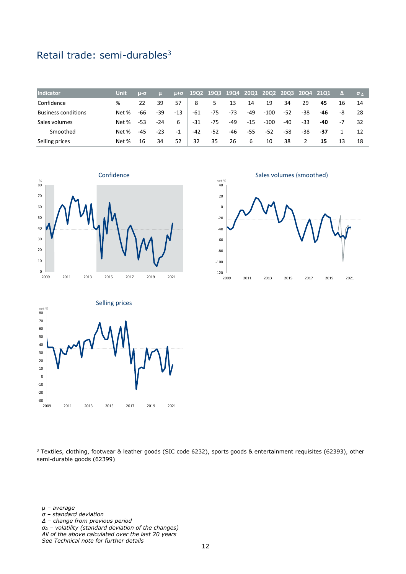# <span id="page-15-0"></span>Retail trade: semi-durables<sup>3</sup>

| Indicator                  | Unit  | $\mu$ - $\sigma$ |       | $\mu + \sigma$ |       | 19Q2 19Q3 | <b>19Q4</b> | <b>2001</b> | <b>20Q2</b> | $-20Q3$ | 2004 2101 |     |    | $\sigma_A$ |
|----------------------------|-------|------------------|-------|----------------|-------|-----------|-------------|-------------|-------------|---------|-----------|-----|----|------------|
| Confidence                 | %     | 22               | 39    | 57             | 8     |           | 13          | 14          | 19          | 34      | 29        | 45  | 16 | 14         |
| <b>Business conditions</b> | Net % | -66              | -39   | $-13$          | -61   | -75       | -73         | -49         | $-100$      | $-52$   | -38       | -46 | -8 | 28         |
| Sales volumes              | Net % | -53              | $-24$ | 6              | $-31$ | -75       | -49         | $-15$       | $-100$      | $-40$   | $-33$     | -40 | -7 | 32         |
| Smoothed                   | Net % | -45              | $-23$ | $-1$           | $-42$ | -52       | -46         | -55         | $-52$       | -58     | -38       | -37 |    | 12         |
| Selling prices             | Net % | 16               | 34    | 52             | 32    | 35        | 26          | 6           | 10          | 38      |           | 15  | 13 | 18         |



Sales volumes (smoothed)





<sup>3</sup> Textiles, clothing, footwear & leather goods (SIC code 6232), sports goods & entertainment requisites (62393), other semi-durable goods (62399)

*µ – average*

- *σ – standard deviation*
- *Δ – change from previous period*
- *σ<sup>Δ</sup> – volatility (standard deviation of the changes) All of the above calculated over the last 20 years*

*See Technical note for further details*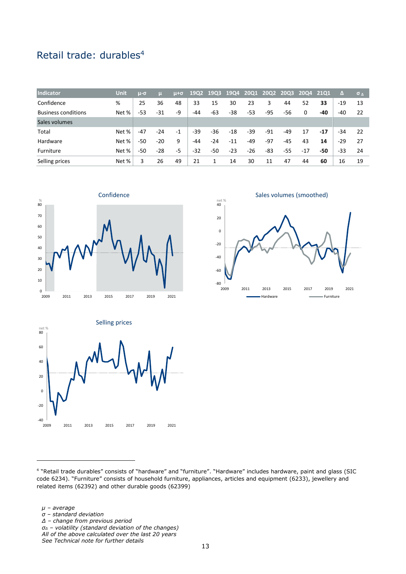# <span id="page-16-0"></span>Retail trade: durables<sup>4</sup>

| <b>Indicator</b>           | <b>Unit</b> | $\mu$ - $\sigma$ |       | μ+σ  |       | 19Q2 19Q3 | <b>19Q4</b> | <b>2001</b> | <b>20Q2</b> | 20Q3 20Q4 21Q1 |       |       | Δ     | $\sigma_A$ |
|----------------------------|-------------|------------------|-------|------|-------|-----------|-------------|-------------|-------------|----------------|-------|-------|-------|------------|
| Confidence                 | %           | 25               | 36    | 48   | 33    | 15        | 30          | 23          | 3           | 44             | 52    | 33    | $-19$ | 13         |
| <b>Business conditions</b> | Net %       | -53              | $-31$ | -9   | -44   | -63       | -38         | -53         | -95         | -56            | 0     | -40   | -40   | 22         |
| Sales volumes              |             |                  |       |      |       |           |             |             |             |                |       |       |       |            |
| Total                      | Net %       | $-47$            | $-24$ | $-1$ | $-39$ | -36       | $-18$       | $-39$       | $-91$       | -49            | 17    | $-17$ | $-34$ | 22         |
| Hardware                   | Net %       | $-50$            | $-20$ | 9    | -44   | $-24$     | $-11$       | -49         | -97         | -45            | 43    | 14    | $-29$ | 27         |
| Furniture                  | Net %       | $-50$            | $-28$ | -5   | $-32$ | $-50$     | $-23$       | $-26$       | -83         | -55            | $-17$ | -50   | -33   | -24        |
| Selling prices             | Net %       | 3                | 26    | 49   | 21    |           | 14          | 30          | 11          | 47             | 44    | 60    | 16    | 19         |







4 "Retail trade durables" consists of "hardware" and "furniture". "Hardware" includes hardware, paint and glass (SIC code 6234). "Furniture" consists of household furniture, appliances, articles and equipment (6233), jewellery and related items (62392) and other durable goods (62399)

- *σ – standard deviation*
- *Δ – change from previous period*
- *σ<sup>Δ</sup> – volatility (standard deviation of the changes)*
- *All of the above calculated over the last 20 years*

*See Technical note for further details*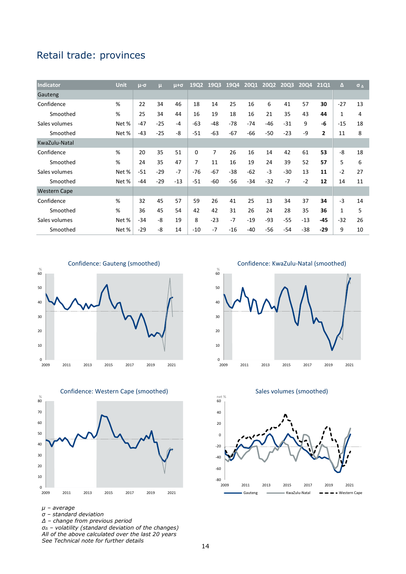# <span id="page-17-0"></span>Retail trade: provinces

| Indicator           | <b>Unit</b> | $\mu$ - $\sigma$ | μ     | $\mu + \sigma$ | 19Q2  | 19Q3  | 19Q4  | <b>20Q1</b> | <b>20Q2</b> | <b>20Q3</b> | 2004  | 2101           | $\Lambda$ | $\sigma$ $\Delta$ |
|---------------------|-------------|------------------|-------|----------------|-------|-------|-------|-------------|-------------|-------------|-------|----------------|-----------|-------------------|
| Gauteng             |             |                  |       |                |       |       |       |             |             |             |       |                |           |                   |
| Confidence          | %           | 22               | 34    | 46             | 18    | 14    | 25    | 16          | 6           | 41          | 57    | 30             | $-27$     | 13                |
| Smoothed            | %           | 25               | 34    | 44             | 16    | 19    | 18    | 16          | 21          | 35          | 43    | 44             | 1         | 4                 |
| Sales volumes       | Net %       | $-47$            | $-25$ | $-4$           | $-63$ | $-48$ | $-78$ | $-74$       | $-46$       | $-31$       | 9     | $-6$           | $-15$     | 18                |
| Smoothed            | Net %       | $-43$            | $-25$ | -8             | $-51$ | $-63$ | $-67$ | $-66$       | $-50$       | $-23$       | -9    | $\overline{2}$ | 11        | 8                 |
| KwaZulu-Natal       |             |                  |       |                |       |       |       |             |             |             |       |                |           |                   |
| Confidence          | %           | 20               | 35    | 51             | 0     | 7     | 26    | 16          | 14          | 42          | 61    | 53             | -8        | 18                |
| Smoothed            | %           | 24               | 35    | 47             | 7     | 11    | 16    | 19          | 24          | 39          | 52    | 57             | 5         | 6                 |
| Sales volumes       | Net %       | $-51$            | $-29$ | $-7$           | $-76$ | $-67$ | $-38$ | $-62$       | $-3$        | $-30$       | 13    | 11             | $-2$      | 27                |
| Smoothed            | Net %       | $-44$            | $-29$ | $-13$          | $-51$ | $-60$ | $-56$ | $-34$       | $-32$       | $-7$        | $-2$  | 12             | 14        | 11                |
| <b>Western Cape</b> |             |                  |       |                |       |       |       |             |             |             |       |                |           |                   |
| Confidence          | %           | 32               | 45    | 57             | 59    | 26    | 41    | 25          | 13          | 34          | 37    | 34             | $-3$      | 14                |
| Smoothed            | %           | 36               | 45    | 54             | 42    | 42    | 31    | 26          | 24          | 28          | 35    | 36             | 1         | 5                 |
| Sales volumes       | Net %       | $-34$            | -8    | 19             | 8     | $-23$ | $-7$  | $-19$       | $-93$       | $-55$       | $-13$ | -45            | $-32$     | 26                |
| Smoothed            | Net %       | $-29$            | -8    | 14             | $-10$ | $-7$  | $-16$ | $-40$       | $-56$       | $-54$       | $-38$ | -29            | 9         | 10                |





Confidence: Western Cape (smoothed)

*Δ – change from previous period*

 $\begin{array}{c|c} 0 & 0 \\ 2009 & 0 \end{array}$ 10 20 30 40 50 60 % 2009 2011 2013 2015 2017 2019 2021 Confidence: KwaZulu-Natal (smoothed)

Sales volumes (smoothed)



net %

*µ – average*

*σ – standard deviation*

*σ<sup>Δ</sup> – volatility (standard deviation of the changes) All of the above calculated over the last 20 years See Technical note for further details*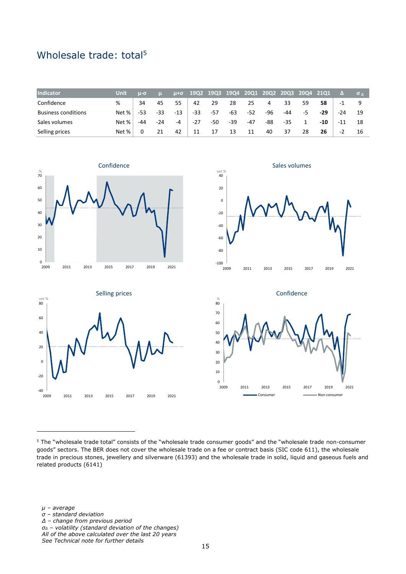# <span id="page-18-0"></span>Wholesale trade: total<sup>5</sup>

| Indicator                  | Unit  | $u - \sigma$ |       | $u + \sigma$ | 19Q2 19Q3 19Q4 |       |     | 20Q1  |     | 20Q2 20Q3 20Q4 21Q1 |    |       |       | $\sigma$ $\Lambda$ |
|----------------------------|-------|--------------|-------|--------------|----------------|-------|-----|-------|-----|---------------------|----|-------|-------|--------------------|
| Confidence                 | %     | 34           | 45    | 55           | 42             | 29    | 28  | 25    | 4   | 33                  | 59 | 58    | -1    |                    |
| <b>Business conditions</b> | Net % | -53          | -33   | $-13$        | -33            | $-57$ | -63 | $-52$ | -96 | -44                 | -5 | $-29$ | -24   | 19                 |
| Sales volumes              | Net % | -44          | $-24$ | -4           | $-27$          | -50   | -39 | $-47$ | -88 | $-35$               |    | -10   | $-11$ | 18                 |
| Selling prices             | Net % |              | 21    | 42           | 11             | 17    | 13  | 11    | 40  | 37                  | 28 | 26    | -2    | 16                 |



 $-100$   $|$ <br>2009 -80 -60 -40 -20 0 20 40 net % 2009 2011 2013 2015 2017 2019 2021

Sales volumes





<sup>5</sup> The "wholesale trade total" consists of the "wholesale trade consumer goods" and the "wholesale trade non-consumer goods" sectors. The BER does not cover the wholesale trade on a fee or contract basis (SIC code 611), the wholesale trade in precious stones, jewellery and silverware (61393) and the wholesale trade in solid, liquid and gaseous fuels and related products (6141)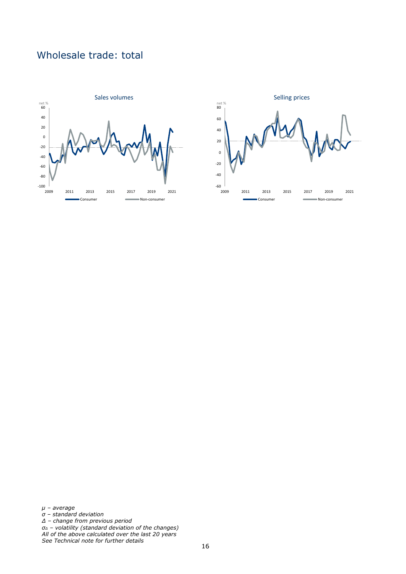# Wholesale trade: total



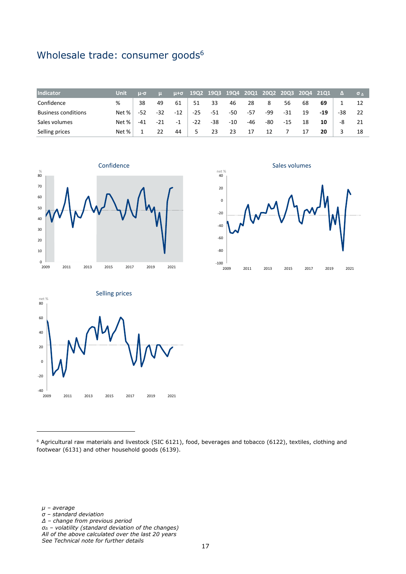# <span id="page-20-0"></span>Wholesale trade: consumer goods<sup>6</sup>

| <b>Indicator</b>           | Unit  | $u - \sigma$ |       | $u + \sigma$ | 19Q2 19Q3 19Q4 20Q1 20Q2 20Q3 20Q4 21Q1 |       |     |       |     |     |    |     |       | $\sigma$ $\Lambda$ |
|----------------------------|-------|--------------|-------|--------------|-----------------------------------------|-------|-----|-------|-----|-----|----|-----|-------|--------------------|
| Confidence                 | %     | 38           | 49    | 61           | 51                                      | 33    | 46  | 28    | 8   | 56  | 68 | 69  |       |                    |
| <b>Business conditions</b> | Net % | -52          | $-32$ | $-12$        | -25                                     | $-51$ | -50 | $-57$ | -99 | -31 | 19 | -19 | $-38$ |                    |
| Sales volumes              | Net % | $-41$        | $-21$ | - 1          | $-22$                                   | -38   | -10 | -46   | -80 | -15 | 18 | 10  | -8    |                    |
| Selling prices             | Net % |              |       | 44           |                                         | 23    | 23  | 17    | 12  |     | 17 | 20  |       | 18                 |



Sales volumes





<sup>6</sup> Agricultural raw materials and livestock (SIC 6121), food, beverages and tobacco (6122), textiles, clothing and footwear (6131) and other household goods (6139).

*µ – average*

- *σ – standard deviation*
- *Δ – change from previous period*
- *σ<sup>Δ</sup> – volatility (standard deviation of the changes) All of the above calculated over the last 20 years*

*See Technical note for further details*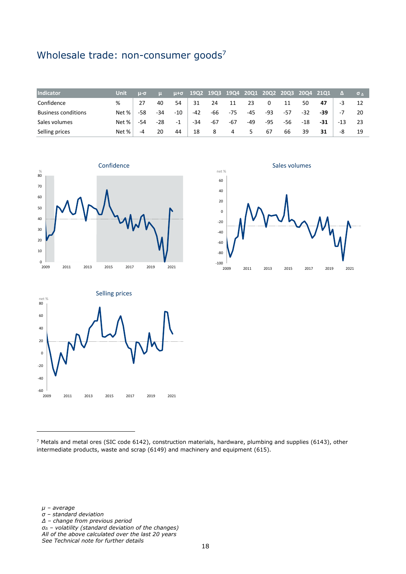# <span id="page-21-0"></span>Wholesale trade: non-consumer goods<sup>7</sup>

| Indicator                  | Unit  | $u - \sigma$ |       | $u + \sigma$ | 19Q2 19Q3 19Q4 |     |     | <b>20Q1</b> |     | 20Q2 20Q3 20Q4 21Q1 |       |       |     | $\sigma$ $\Lambda$ |
|----------------------------|-------|--------------|-------|--------------|----------------|-----|-----|-------------|-----|---------------------|-------|-------|-----|--------------------|
| Confidence                 | %     | 27           | 40    | 54           | 31             | 24  | 11  | 23          | 0   | 11                  | 50    | 47    | -3  | 12                 |
| <b>Business conditions</b> | Net % | -58          | $-34$ | $-10$        | $-42$          | -66 | -75 | $-45$       | -93 | -57                 | $-32$ | -39   | -7  | -20                |
| Sales volumes              | Net % | -54          | $-28$ | $-1$         | -34            | -67 | -67 | $-49$       | -95 | -56                 | -18   | $-31$ | -13 | 23                 |
| Selling prices             | Net % | -4           | 20    | 44           | 18             | 8   | 4   | 5.          | 67  | 66                  | 39    | 31    | -8  | 19                 |



 $-100$   $|$ <br>2009 -80 -60 -40 -20 0 20 40 60 2009 2011 2013 2015 2017 2019 2021 net % Sales volumes



*µ – average*

- *σ – standard deviation*
- *Δ – change from previous period*
- *σ<sup>Δ</sup> – volatility (standard deviation of the changes) All of the above calculated over the last 20 years*

*See Technical note for further details*

<sup>7</sup> Metals and metal ores (SIC code 6142), construction materials, hardware, plumbing and supplies (6143), other intermediate products, waste and scrap (6149) and machinery and equipment (615).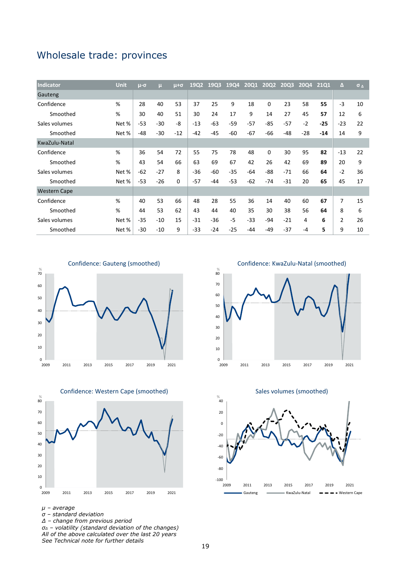## <span id="page-22-0"></span>Wholesale trade: provinces

| <b>Indicator</b>    | <b>Unit</b> | $\mu$ - $\sigma$ | $\mathbf{u}$ | $u + \sigma$ | 19Q2  | 19Q3  | 1904  | <b>2001</b> | <b>20Q2</b> | 20Q3  | 2004  | 2101  | Δ              | $\sigma$ <sub><math>\Delta</math></sub> |
|---------------------|-------------|------------------|--------------|--------------|-------|-------|-------|-------------|-------------|-------|-------|-------|----------------|-----------------------------------------|
| Gauteng             |             |                  |              |              |       |       |       |             |             |       |       |       |                |                                         |
| Confidence          | %           | 28               | 40           | 53           | 37    | 25    | 9     | 18          | 0           | 23    | 58    | 55    | $-3$           | 10                                      |
| Smoothed            | %           | 30               | 40           | 51           | 30    | 24    | 17    | 9           | 14          | 27    | 45    | 57    | 12             | 6                                       |
| Sales volumes       | Net %       | $-53$            | $-30$        | -8           | $-13$ | $-63$ | -59   | $-57$       | $-85$       | $-57$ | $-2$  | $-25$ | $-23$          | 22                                      |
| Smoothed            | Net %       | $-48$            | $-30$        | $-12$        | $-42$ | $-45$ | -60   | $-67$       | $-66$       | $-48$ | $-28$ | -14   | 14             | 9                                       |
| KwaZulu-Natal       |             |                  |              |              |       |       |       |             |             |       |       |       |                |                                         |
| Confidence          | %           | 36               | 54           | 72           | 55    | 75    | 78    | 48          | 0           | 30    | 95    | 82    | $-13$          | 22                                      |
| Smoothed            | %           | 43               | 54           | 66           | 63    | 69    | 67    | 42          | 26          | 42    | 69    | 89    | 20             | 9                                       |
| Sales volumes       | Net %       | $-62$            | $-27$        | 8            | $-36$ | $-60$ | $-35$ | $-64$       | $-88$       | $-71$ | 66    | 64    | $-2$           | 36                                      |
| Smoothed            | Net %       | $-53$            | $-26$        | $\Omega$     | $-57$ | $-44$ | $-53$ | $-62$       | $-74$       | $-31$ | 20    | 65    | 45             | 17                                      |
| <b>Western Cape</b> |             |                  |              |              |       |       |       |             |             |       |       |       |                |                                         |
| Confidence          | %           | 40               | 53           | 66           | 48    | 28    | 55    | 36          | 14          | 40    | 60    | 67    | 7              | 15                                      |
| Smoothed            | %           | 44               | 53           | 62           | 43    | 44    | 40    | 35          | 30          | 38    | 56    | 64    | 8              | 6                                       |
| Sales volumes       | Net %       | $-35$            | $-10$        | 15           | $-31$ | $-36$ | $-5$  | $-33$       | $-94$       | $-21$ | 4     | 6     | $\overline{2}$ | 26                                      |
| Smoothed            | Net %       | $-30$            | $-10$        | 9            | $-33$ | $-24$ | $-25$ | -44         | $-49$       | $-37$ | -4    | 5     | 9              | 10                                      |





*µ – average*

- *σ – standard deviation*
- *Δ – change from previous period*
- *σ<sup>Δ</sup> – volatility (standard deviation of the changes) All of the above calculated over the last 20 years See Technical note for further details*

Confidence: KwaZulu-Natal (smoothed)



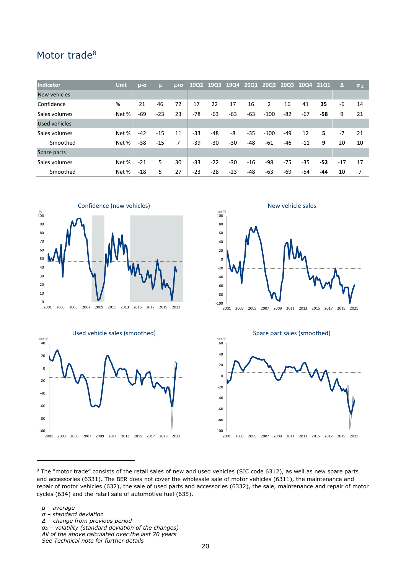### <span id="page-23-0"></span>Motor trade<sup>8</sup>

| Indicator     | Unit  | $\mu$ - $\sigma$ | ш     | $u + \sigma$ |       | 1902 1903 | <b>19Q4</b> | <b>2001</b> |        |       | 2002 2003 2004 2101 |     | $\Delta$ | $\sigma_A$ |
|---------------|-------|------------------|-------|--------------|-------|-----------|-------------|-------------|--------|-------|---------------------|-----|----------|------------|
| New vehicles  |       |                  |       |              |       |           |             |             |        |       |                     |     |          |            |
| Confidence    | %     | 21               | 46    | 72           | 17    | 22        | 17          | 16          | 2      | 16    | 41                  | 35  | -6       | 14         |
| Sales volumes | Net % | -69              | $-23$ | 23           | $-78$ | $-63$     | -63         | -63         | $-100$ | -82   | $-67$               | -58 | 9        | 21         |
| Used vehicles |       |                  |       |              |       |           |             |             |        |       |                     |     |          |            |
| Sales volumes | Net % | $-42$            | $-15$ | 11           | $-33$ | $-48$     | -8          | $-35$       | $-100$ | $-49$ | 12                  | 5   | $-7$     | 21         |
| Smoothed      | Net % | -38              | $-15$ | 7            | -39   | $-30$     | -30         | -48         | $-61$  | -46   | $-11$               | 9   | 20       | 10         |
| Spare parts   |       |                  |       |              |       |           |             |             |        |       |                     |     |          |            |
| Sales volumes | Net % | $-21$            | 5.    | 30           | $-33$ | $-22$     | $-30$       | $-16$       | -98    | $-75$ | $-35$               | -52 | $-17$    | 17         |
| Smoothed      | Net % | $-18$            | 5.    | 27           | $-23$ | $-28$     | $-23$       | -48         | -63    | -69   | $-54$               | -44 | 10       | 7          |









 $8$  The "motor trade" consists of the retail sales of new and used vehicles (SIC code 6312), as well as new spare parts and accessories (6331). The BER does not cover the wholesale sale of motor vehicles (6311), the maintenance and repair of motor vehicles (632), the sale of used parts and accessories (6332), the sale, maintenance and repair of motor cycles (634) and the retail sale of automotive fuel (635).

*µ – average*

- *σ – standard deviation*
- *Δ – change from previous period*
- *σ<sup>Δ</sup> – volatility (standard deviation of the changes)*
- *All of the above calculated over the last 20 years*

*See Technical note for further details*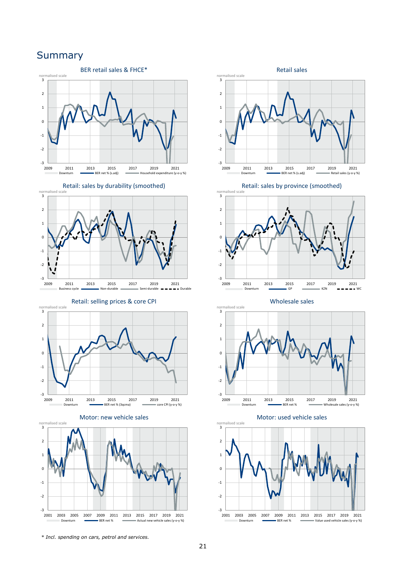## <span id="page-24-0"></span>**Summary**















Retail: sales by province (smoothed)



Wholesale sales





*\* Incl. spending on cars, petrol and services.*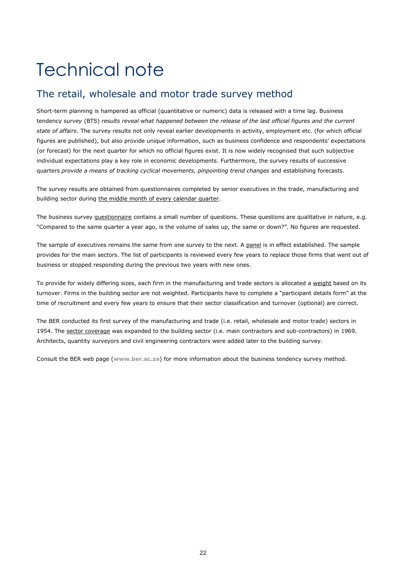# <span id="page-25-0"></span>Technical note

## <span id="page-25-1"></span>The retail, wholesale and motor trade survey method

Short-term planning is hampered as official (quantitative or numeric) data is released with a time lag. Business tendency *survey* (BTS) *results reveal what happened between the release of the last official figures and the current state of affairs*. The survey results not only reveal earlier developments in activity, employment etc. (for which official figures are published), but also provide unique information, such as business confidence and respondents' expectations (or forecast) for the next quarter for which no official figures exist. It is now widely recognised that such subjective individual expectations play a key role in economic developments. Furthermore, the survey results of successive quarters *provide a means of tracking cyclical movements, pinpointing trend changes* and establishing forecasts.

The survey results are obtained from questionnaires completed by senior executives in the trade, manufacturing and building sector during the middle month of every calendar quarter.

The business survey questionnaire contains a small number of questions. These questions are qualitative in nature, e.g. "Compared to the same quarter a year ago, is the volume of sales up, the same or down?". No figures are requested.

The sample of executives remains the same from one survey to the next. A panel is in effect established. The sample provides for the main sectors. The list of participants is reviewed every few years to replace those firms that went out of business or stopped responding during the previous two years with new ones.

To provide for widely differing sizes, each firm in the manufacturing and trade sectors is allocated a weight based on its turnover. Firms in the building sector are not weighted. Participants have to complete a "participant details form" at the time of recruitment and every few years to ensure that their sector classification and turnover (optional) are correct.

The BER conducted its first survey of the manufacturing and trade (i.e. retail, wholesale and motor trade) sectors in 1954. The sector coverage was expanded to the building sector (i.e. main contractors and sub-contractors) in 1969. Architects, quantity surveyors and civil engineering contractors were added later to the building survey.

Consult the BER web page (**[www.ber.ac.za](http://www.ber.ac.za/)**) for more information about the business tendency survey method.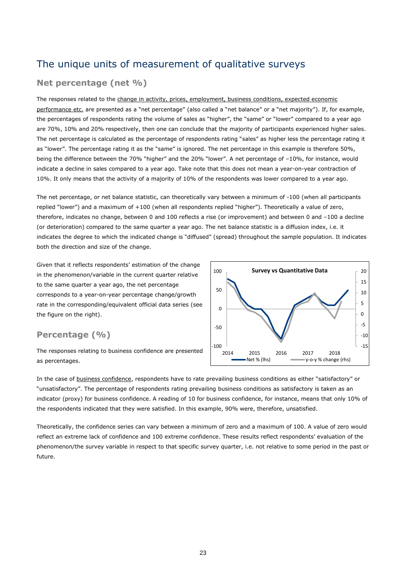## <span id="page-26-0"></span>The unique units of measurement of qualitative surveys

#### **Net percentage (net %)**

The responses related to the change in activity, prices, employment, business conditions, expected economic performance etc. are presented as a "net percentage" (also called a "net balance" or a "net majority"). If, for example, the percentages of respondents rating the volume of sales as "higher", the "same" or "lower" compared to a year ago are 70%, 10% and 20% respectively, then one can conclude that the majority of participants experienced higher sales. The net percentage is calculated as the percentage of respondents rating "sales" as higher less the percentage rating it as "lower". The percentage rating it as the "same" is ignored. The net percentage in this example is therefore 50%, being the difference between the 70% "higher" and the 20% "lower". A net percentage of –10%, for instance, would indicate a decline in sales compared to a year ago. Take note that this does not mean a year-on-year contraction of 10%. It only means that the activity of a majority of 10% of the respondents was lower compared to a year ago.

The net percentage, or net balance statistic, can theoretically vary between a minimum of -100 (when all participants replied "lower") and a maximum of +100 (when all respondents replied "higher"). Theoretically a value of zero, therefore, indicates no change, between 0 and 100 reflects a rise (or improvement) and between 0 and –100 a decline (or deterioration) compared to the same quarter a year ago. The net balance statistic is a diffusion index, i.e. it indicates the degree to which the indicated change is "diffused" (spread) throughout the sample population. It indicates both the direction and size of the change.

Given that it reflects respondents' estimation of the change in the phenomenon/variable in the current quarter relative to the same quarter a year ago, the net percentage corresponds to a year-on-year percentage change/growth rate in the corresponding/equivalent official data series (see the figure on the right).

#### **Percentage (%)**

The responses relating to business confidence are presented as percentages.



In the case of business confidence, respondents have to rate prevailing business conditions as either "satisfactory" or "unsatisfactory". The percentage of respondents rating prevailing business conditions as satisfactory is taken as an indicator (proxy) for business confidence. A reading of 10 for business confidence, for instance, means that only 10% of the respondents indicated that they were satisfied. In this example, 90% were, therefore, unsatisfied.

Theoretically, the confidence series can vary between a minimum of zero and a maximum of 100. A value of zero would reflect an extreme lack of confidence and 100 extreme confidence. These results reflect respondents' evaluation of the phenomenon/the survey variable in respect to that specific survey quarter, i.e. not relative to some period in the past or future.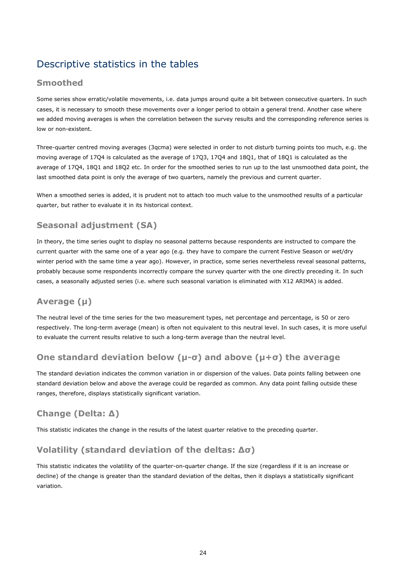# <span id="page-27-0"></span>Descriptive statistics in the tables

#### **Smoothed**

Some series show erratic/volatile movements, i.e. data jumps around quite a bit between consecutive quarters. In such cases, it is necessary to smooth these movements over a longer period to obtain a general trend. Another case where we added moving averages is when the correlation between the survey results and the corresponding reference series is low or non-existent.

Three-quarter centred moving averages (3qcma) were selected in order to not disturb turning points too much, e.g. the moving average of 17Q4 is calculated as the average of 17Q3, 17Q4 and 18Q1, that of 18Q1 is calculated as the average of 17Q4, 18Q1 and 18Q2 etc. In order for the smoothed series to run up to the last unsmoothed data point, the last smoothed data point is only the average of two quarters, namely the previous and current quarter.

When a smoothed series is added, it is prudent not to attach too much value to the unsmoothed results of a particular quarter, but rather to evaluate it in its historical context.

#### **Seasonal adjustment (SA)**

In theory, the time series ought to display no seasonal patterns because respondents are instructed to compare the current quarter with the same one of a year ago (e.g. they have to compare the current Festive Season or wet/dry winter period with the same time a year ago). However, in practice, some series nevertheless reveal seasonal patterns, probably because some respondents incorrectly compare the survey quarter with the one directly preceding it. In such cases, a seasonally adjusted series (i.e. where such seasonal variation is eliminated with X12 ARIMA) is added.

## **Average (µ)**

The neutral level of the time series for the two measurement types, net percentage and percentage, is 50 or zero respectively. The long-term average (mean) is often not equivalent to this neutral level. In such cases, it is more useful to evaluate the current results relative to such a long-term average than the neutral level.

### **One standard deviation below (µ-σ) and above (µ+σ) the average**

The standard deviation indicates the common variation in or dispersion of the values. Data points falling between one standard deviation below and above the average could be regarded as common. Any data point falling outside these ranges, therefore, displays statistically significant variation.

## **Change (Delta: Δ)**

This statistic indicates the change in the results of the latest quarter relative to the preceding quarter.

### **Volatility (standard deviation of the deltas: Δσ)**

This statistic indicates the volatility of the quarter-on-quarter change. If the size (regardless if it is an increase or decline) of the change is greater than the standard deviation of the deltas, then it displays a statistically significant variation.